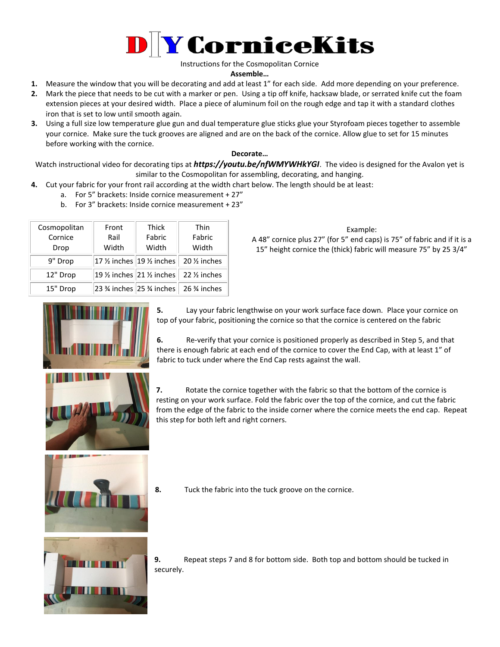

Instructions for the Cosmopolitan Cornice

## **Assemble…**

- **1.** Measure the window that you will be decorating and add at least 1" for each side. Add more depending on your preference.
- **2.** Mark the piece that needs to be cut with a marker or pen. Using a tip off knife, hacksaw blade, or serrated knife cut the foam extension pieces at your desired width. Place a piece of aluminum foil on the rough edge and tap it with a standard clothes iron that is set to low until smooth again.
- **3.** Using a full size low temperature glue gun and dual temperature glue sticks glue your Styrofoam pieces together to assemble your cornice. Make sure the tuck grooves are aligned and are on the back of the cornice. Allow glue to set for 15 minutes before working with the cornice.

## **Decorate…**

Watch instructional video for decorating tips at *https://youtu.be/nfWMYWHkYGI*. The video is designed for the Avalon yet is similar to the Cosmopolitan for assembling, decorating, and hanging.

- **4.** Cut your fabric for your front rail according at the width chart below. The length should be at least:
	- a. For 5" brackets: Inside cornice measurement + 27"
	- b. For 3" brackets: Inside cornice measurement + 23"

| Cosmopolitan | Front | <b>Thick</b>                                    | Thin                                                                    |
|--------------|-------|-------------------------------------------------|-------------------------------------------------------------------------|
| Cornice      | Rail  | Fabric                                          | Fabric                                                                  |
| Drop         | Width | Width                                           | Width                                                                   |
| 9" Drop      |       | 17 $\frac{1}{2}$ inches 19 $\frac{1}{2}$ inches | 20 1/ <sub>2</sub> inches                                               |
| 12" Drop     |       | 19 $\frac{1}{2}$ inches 21 $\frac{1}{2}$ inches | 22 1/ <sub>2</sub> inches                                               |
| 15" Drop     |       |                                                 | 23 $\frac{3}{4}$ inches 25 $\frac{3}{4}$ inches 26 $\frac{3}{4}$ inches |

## Example:

A 48" cornice plus 27" (for 5" end caps) is 75" of fabric and if it is a 15" height cornice the (thick) fabric will measure 75" by 25 3/4"



**5.** Lay your fabric lengthwise on your work surface face down. Place your cornice on top of your fabric, positioning the cornice so that the cornice is centered on the fabric

**6.** Re-verify that your cornice is positioned properly as described in Step 5, and that there is enough fabric at each end of the cornice to cover the End Cap, with at least 1" of fabric to tuck under where the End Cap rests against the wall.

**7.** Rotate the cornice together with the fabric so that the bottom of the cornice is resting on your work surface. Fold the fabric over the top of the cornice, and cut the fabric from the edge of the fabric to the inside corner where the cornice meets the end cap. Repeat this step for both left and right corners.



**8.** Tuck the fabric into the tuck groove on the cornice.



**9.** Repeat steps 7 and 8 for bottom side. Both top and bottom should be tucked in securely.